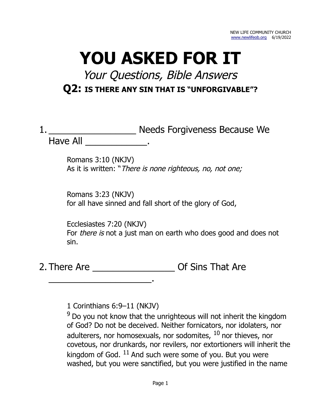# **YOU ASKED FOR IT**

## Your Questions, Bible Answers **Q2: IS THERE ANY SIN THAT IS "UNFORGIVABLE"?**

|          | Needs Forgiveness Because We |
|----------|------------------------------|
| Have All |                              |

Romans 3:10 (NKJV) As it is written: "There is none righteous, no, not one;

Romans 3:23 (NKJV) for all have sinned and fall short of the glory of God,

Ecclesiastes 7:20 (NKJV) For *there is* not a just man on earth who does good and does not sin.

2. There Are \_\_\_\_\_\_\_\_\_\_\_\_\_\_\_\_\_\_\_\_\_\_\_\_\_\_\_ Of Sins That Are

1 Corinthians 6:9–11 (NKJV)

\_\_\_\_\_\_\_\_\_\_\_\_\_\_\_\_\_\_\_\_.

 $9$  Do you not know that the unrighteous will not inherit the kingdom of God? Do not be deceived. Neither fornicators, nor idolaters, nor adulterers, nor homosexuals, nor sodomites,  $10$  nor thieves, nor covetous, nor drunkards, nor revilers, nor extortioners will inherit the kingdom of God.  $11$  And such were some of you. But you were washed, but you were sanctified, but you were justified in the name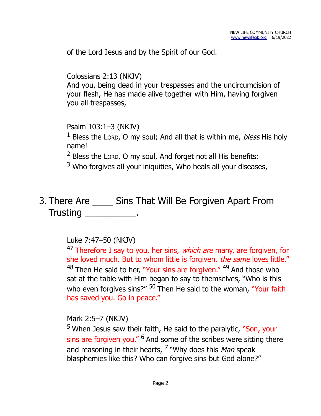of the Lord Jesus and by the Spirit of our God.

Colossians 2:13 (NKJV) And you, being dead in your trespasses and the uncircumcision of your flesh, He has made alive together with Him, having forgiven you all trespasses,

Psalm 103:1–3 (NKJV)

<sup>1</sup> Bless the Lorp, O my soul; And all that is within me, *bless* His holy name!

 $2$  Bless the Lorp, O my soul, And forget not all His benefits:

 $3$  Who forgives all your iniquities, Who heals all your diseases,

3. There Are \_\_\_\_ Sins That Will Be Forgiven Apart From Trusting \_\_\_\_\_\_\_\_\_\_\_\_.

## Luke 7:47–50 (NKJV)

<sup>47</sup> Therefore I say to you, her sins, which are many, are forgiven, for she loved much. But to whom little is forgiven, the same loves little." <sup>48</sup> Then He said to her. "Your sins are forgiven." <sup>49</sup> And those who sat at the table with Him began to say to themselves, "Who is this who even forgives sins?" <sup>50</sup> Then He said to the woman, "Your faith has saved you. Go in peace."

Mark 2:5–7 (NKJV)

<sup>5</sup> When Jesus saw their faith, He said to the paralytic, "Son, your sins are forgiven you." <sup>6</sup> And some of the scribes were sitting there and reasoning in their hearts, <sup>7</sup> "Why does this *Man* speak blasphemies like this? Who can forgive sins but God alone?"